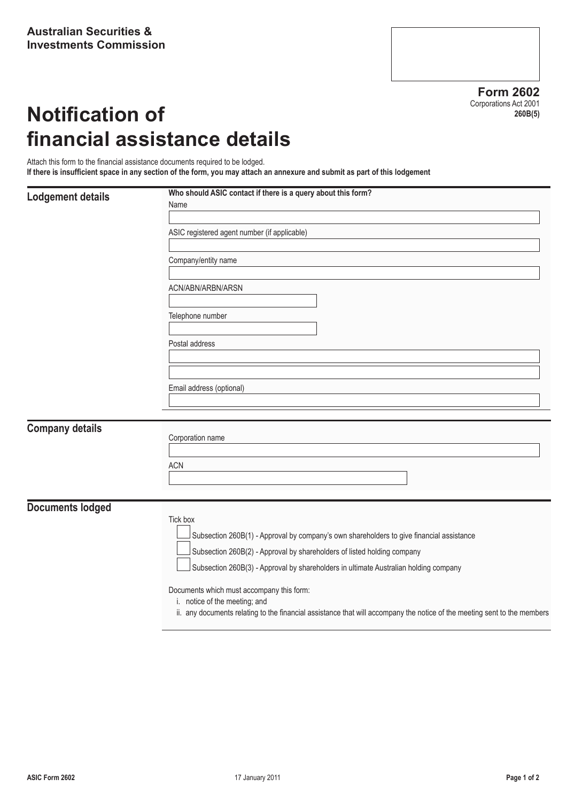**Form 2602** Corporations Act 2001 **260B(5)**

# **Notification of financial assistance details**

Attach this form to the financial assistance documents required to be lodged. **If there is insufficient space in any section of the form, you may attach an annexure and submit as part of this lodgement**

# **Lodgement details** Who should ASIC contact if there is a query about this form?

|                        | Name                                         |  |  |  |  |
|------------------------|----------------------------------------------|--|--|--|--|
|                        | ASIC registered agent number (if applicable) |  |  |  |  |
|                        | Company/entity name                          |  |  |  |  |
|                        | ACN/ABN/ARBN/ARSN                            |  |  |  |  |
|                        | Telephone number                             |  |  |  |  |
|                        | Postal address                               |  |  |  |  |
|                        |                                              |  |  |  |  |
|                        | Email address (optional)                     |  |  |  |  |
| <b>Company details</b> | Corporation name                             |  |  |  |  |
|                        | ACN                                          |  |  |  |  |
|                        |                                              |  |  |  |  |

**Documents lodged**

### Tick box

Subsection 260B(1) - Approval by company's own shareholders to give financial assistance

Subsection 260B(2) - Approval by shareholders of listed holding company

Subsection 260B(3) - Approval by shareholders in ultimate Australian holding company

Documents which must accompany this form:

i. notice of the meeting; and

ii. any documents relating to the financial assistance that will accompany the notice of the meeting sent to the members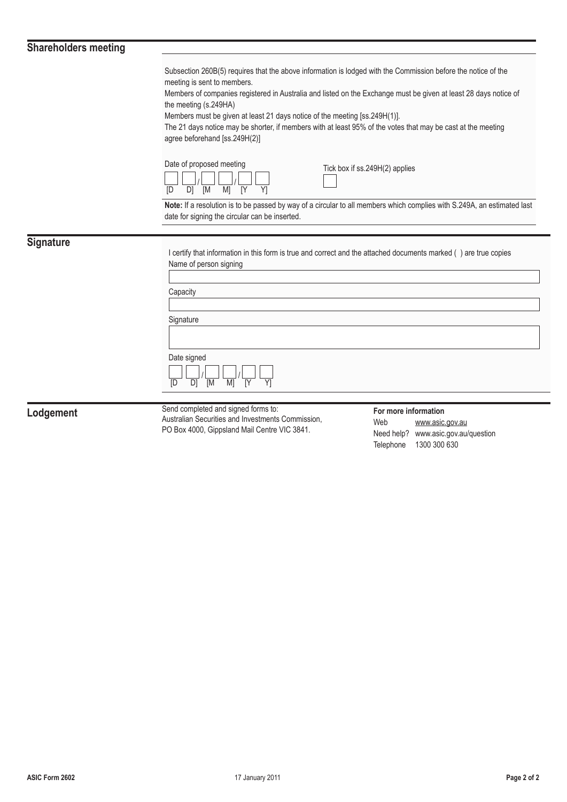## **Shareholders meeting**

Subsection 260B(5) requires that the above information is lodged with the Commission before the notice of the meeting is sent to members.

Members of companies registered in Australia and listed on the Exchange must be given at least 28 days notice of the meeting (s.249HA)

Members must be given at least 21 days notice of the meeting [ss.249H(1)].

The 21 days notice may be shorter, if members with at least 95% of the votes that may be cast at the meeting agree beforehand [ss.249H(2)]

| Date of proposed meeting |  |  |  |  |  |
|--------------------------|--|--|--|--|--|
|                          |  |  |  |  |  |
| ſΠ                       |  |  |  |  |  |

Tick box if ss.249H(2) applies

**Note:** If a resolution is to be passed by way of a circular to all members which complies with S.249A, an estimated last date for signing the circular can be inserted.

## **Signature**

I certify that information in this form is true and correct and the attached documents marked () are true copies Name of person signing

**Capacity** 

**Signature** 

Date signed

| Date signed |  |  |
|-------------|--|--|
|             |  |  |
|             |  |  |

**Lodgement** Send completed and signed forms to: Australian Securities and Investments Commission, PO Box 4000, Gippsland Mail Centre VIC 3841.

#### **For more information** Web www.asic.gov.au Need help? www.asic.gov.au/question Telephone 1300 300 630